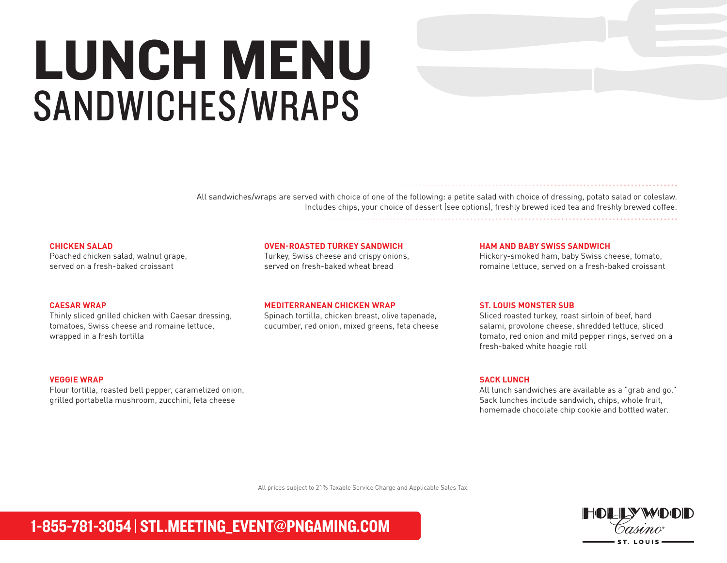# LUNCH MENU SANDWICHES/WRAPS

All sandwiches/wraps are served with choice of one of the following: a petite salad with choice of dressing, potato salad or coleslaw. Includes chips, your choice of dessert (see options), freshly brewed iced tea and freshly brewed coffee.

#### **CHICKEN SALAD**

Poached chicken salad, walnut grape, served on a fresh-baked croissant

#### **OVEN-ROASTED TURKEY SANDWICH**

Turkey, Swiss cheese and crispy onions, served on fresh-baked wheat bread

#### **HAM AND BABY SWISS SANDWICH**

Hickory-smoked ham, baby Swiss cheese, tomato, romaine lettuce, served on a fresh-baked croissant

#### **CAESAR WRAP**

Thinly sliced grilled chicken with Caesar dressing, tomatoes, Swiss cheese and romaine lettuce, wrapped in a fresh tortilla

#### **VEGGIE WRAP**

Flour tortilla, roasted bell pepper, caramelized onion, grilled portabella mushroom, zucchini, feta cheese

#### **MEDITERRANEAN CHICKEN WRAP**

Spinach tortilla, chicken breast, olive tapenade, cucumber, red onion, mixed greens, feta cheese

#### **ST. LOUIS MONSTER SUB**

Sliced roasted turkey, roast sirloin of beef, hard salami, provolone cheese, shredded lettuce, sliced tomato, red onion and mild pepper rings, served on a fresh-baked white hoagie roll

#### **SACK LUNCH**

All lunch sandwiches are available as a "grab and go." Sack lunches include sandwich, chips, whole fruit, homemade chocolate chip cookie and bottled water.

All prices subject to 21% Taxable Service Charge and Applicable Sales Tax.

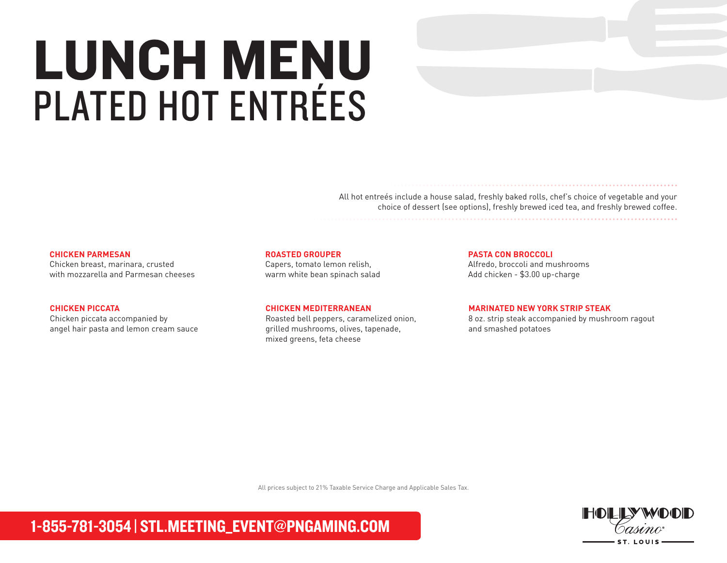# LUNCH MENU PLATED HOT ENTRÉES

All hot entreés include a house salad, freshly baked rolls, chef's choice of vegetable and your choice of dessert (see options), freshly brewed iced tea, and freshly brewed coffee.

#### **CHICKEN PARMESAN**

Chicken breast, marinara, crusted with mozzarella and Parmesan cheeses

#### **CHICKEN PICCATA**

Chicken piccata accompanied by angel hair pasta and lemon cream sauce

#### **ROASTED GROUPER**

Capers, tomato lemon relish, warm white bean spinach salad

#### **CHICKEN MEDITERRANEAN**

Roasted bell peppers, caramelized onion, grilled mushrooms, olives, tapenade, mixed greens, feta cheese

**PASTA CON BROCCOLI** 

Alfredo, broccoli and mushrooms Add chicken - \$3.00 up-charge

#### **MARINATED NEW YORK STRIP STEAK**

8 oz. strip steak accompanied by mushroom ragout and smashed potatoes

All prices subject to 21% Taxable Service Charge and Applicable Sales Tax.

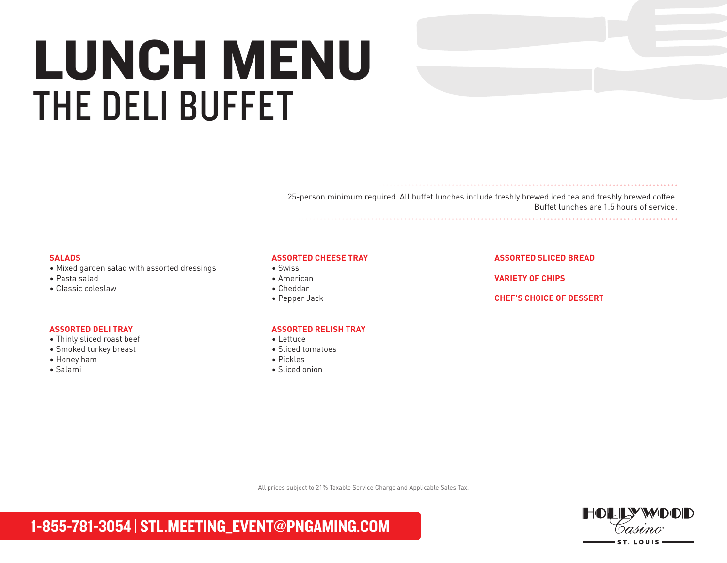# LUNCH MENU THE DELI BUFFET

25-person minimum required. All buffet lunches include freshly brewed iced tea and freshly brewed coffee. Buffet lunches are 1.5 hours of service.

#### **SALADS**

- Mixed garden salad with assorted dressings
- Pasta salad
- Classic coleslaw

#### **ASSORTED DELI TRAY**

- Thinly sliced roast beef
- Smoked turkey breast
- Honey ham
- Salami

#### **ASSORTED CHEESE TRAY**

- Swiss
- American
- Cheddar
- Pepper Jack

#### **ASSORTED RELISH TRAY**

- Lettuce
- Sliced tomatoes
- Pickles
- Sliced onion

#### **ASSORTED SLICED BREAD**

**VARIETY OF CHIPS**

#### **CHEF'S CHOICE OF DESSERT**

All prices subject to 21% Taxable Service Charge and Applicable Sales Tax.